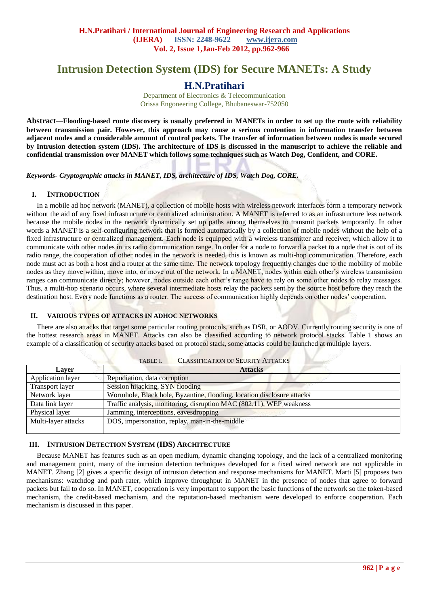# **Intrusion Detection System (IDS) for Secure MANETs: A Study**

## **H.N.Pratihari**

Department of Electronics & Telecommunication Orissa Engoneering College, Bhubaneswar-752050

**Abstract***—***Flooding-based route discovery is usually preferred in MANETs in order to set up the route with reliability between transmission pair. However, this approach may cause a serious contention in information transfer between adjacent nodes and a considerable amount of control packets. The transfer of information between nodes is made secured by Intrusion detection system (IDS). The architecture of IDS is discussed in the manuscript to achieve the reliable and confidential transmission over MANET which follows some techniques such as Watch Dog, Confident, and CORE.**

*Keywords- Cryptographic attacks in MANET, IDS, architecture of IDS, Watch Dog, CORE.*

#### **I. INTRODUCTION**

In a mobile ad hoc network (MANET), a collection of mobile hosts with wireless network interfaces form a temporary network without the aid of any fixed infrastructure or centralized administration. A MANET is referred to as an infrastructure less network because the mobile nodes in the network dynamically set up paths among themselves to transmit packets temporarily. In other words a MANET is a self-configuring network that is formed automatically by a collection of mobile nodes without the help of a fixed infrastructure or centralized management. Each node is equipped with a wireless transmitter and receiver, which allow it to communicate with other nodes in its radio communication range. In order for a node to forward a packet to a node that is out of its radio range, the cooperation of other nodes in the network is needed, this is known as multi-hop communication. Therefore, each node must act as both a host and a router at the same time. The network topology frequently changes due to the mobility of mobile nodes as they move within, move into, or move out of the network. In a MANET, nodes within each other's wireless transmission ranges can communicate directly; however, nodes outside each other's range have to rely on some other nodes to relay messages. Thus, a multi-hop scenario occurs, where several intermediate hosts relay the packets sent by the source host before they reach the destination host. Every node functions as a router. The success of communication highly depends on other nodes' cooperation.

#### **II. VARIOUS TYPES OF ATTACKS IN ADHOC NETWORKS**

There are also attacks that target some particular routing protocols, such as DSR, or AODV. Currently routing security is one of the hottest research areas in MANET. Attacks can also be classified according to network protocol stacks. Table 1 shows an example of a classification of security attacks based on protocol stack, some attacks could be launched at multiple layers.

| <b>Laver</b>           | <b>Attacks</b>                                                         |
|------------------------|------------------------------------------------------------------------|
| Application layer      | Repudiation, data corruption                                           |
| <b>Transport layer</b> | Session hijacking, SYN flooding                                        |
| Network layer          | Wormhole, Black hole, Byzantine, flooding, location disclosure attacks |
| Data link layer        | Traffic analysis, monitoring, disruption MAC (802.11), WEP weakness    |
| Physical layer         | Jamming, interceptions, eavesdropping                                  |
| Multi-layer attacks    | DOS, impersonation, replay, man-in-the-middle                          |
|                        |                                                                        |

TABLE I. CLASSIFICATION OF SEURITY ATTACKS

#### **III. INTRUSION DETECTION SYSTEM (IDS) ARCHITECTURE**

Because MANET has features such as an open medium, dynamic changing topology, and the lack of a centralized monitoring and management point, many of the intrusion detection techniques developed for a fixed wired network are not applicable in MANET. Zhang [2] gives a specific design of intrusion detection and response mechanisms for MANET. Marti [5] proposes two mechanisms: watchdog and path rater, which improve throughput in MANET in the presence of nodes that agree to forward packets but fail to do so. In MANET, cooperation is very important to support the basic functions of the network so the token-based mechanism, the credit-based mechanism, and the reputation-based mechanism were developed to enforce cooperation. Each mechanism is discussed in this paper.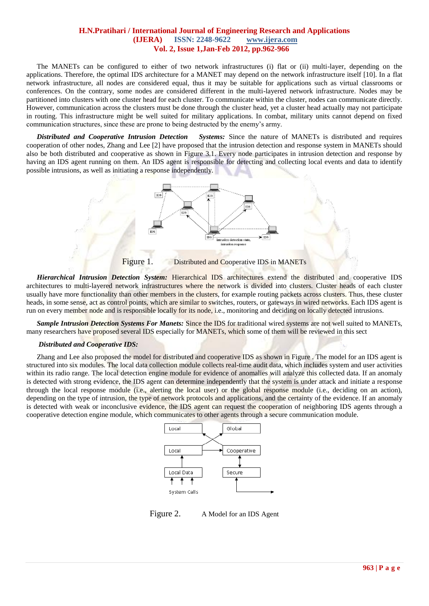The MANETs can be configured to either of two network infrastructures (i) flat or (ii) multi-layer, depending on the applications. Therefore, the optimal IDS architecture for a MANET may depend on the network infrastructure itself [10]. In a flat network infrastructure, all nodes are considered equal, thus it may be suitable for applications such as virtual classrooms or conferences. On the contrary, some nodes are considered different in the multi-layered network infrastructure. Nodes may be partitioned into clusters with one cluster head for each cluster. To communicate within the cluster, nodes can communicate directly. However, communication across the clusters must be done through the cluster head, yet a cluster head actually may not participate in routing. This infrastructure might be well suited for military applications. In combat, military units cannot depend on fixed communication structures, since these are prone to being destructed by the enemy"s army.

*Distributed and Cooperative Intrusion Detection Systems:* Since the nature of MANETs is distributed and requires cooperation of other nodes, Zhang and Lee [2] have proposed that the intrusion detection and response system in MANETs should also be both distributed and cooperative as shown in Figure 3.1. Every node participates in intrusion detection and response by having an IDS agent running on them. An IDS agent is responsible for detecting and collecting local events and data to identify possible intrusions, as well as initiating a response independently.



*Hierarchical Intrusion Detection System:* Hierarchical IDS architectures extend the distributed and cooperative IDS architectures to multi-layered network infrastructures where the network is divided into clusters. Cluster heads of each cluster usually have more functionality than other members in the clusters, for example routing packets across clusters. Thus, these cluster heads, in some sense, act as control points, which are similar to switches, routers, or gateways in wired networks. Each IDS agent is run on every member node and is responsible locally for its node, i.e., monitoring and deciding on locally detected intrusions.

*Sample Intrusion Detection Systems For Manets:* Since the IDS for traditional wired systems are not well suited to MANETs, many researchers have proposed several IDS especially for MANETs, which some of them will be reviewed in this sect

#### *Distributed and Cooperative IDS:*

Zhang and Lee also proposed the model for distributed and cooperative IDS as shown in Figure . The model for an IDS agent is structured into six modules. The local data collection module collects real-time audit data, which includes system and user activities within its radio range. The local detection engine module for evidence of anomalies will analyze this collected data. If an anomaly is detected with strong evidence, the IDS agent can determine independently that the system is under attack and initiate a response through the local response module (i.e., alerting the local user) or the global response module (i.e., deciding on an action), depending on the type of intrusion, the type of network protocols and applications, and the certainty of the evidence. If an anomaly is detected with weak or inconclusive evidence, the IDS agent can request the cooperation of neighboring IDS agents through a cooperative detection engine module, which communicates to other agents through a secure communication module.



Figure 2. A Model for an IDS Agent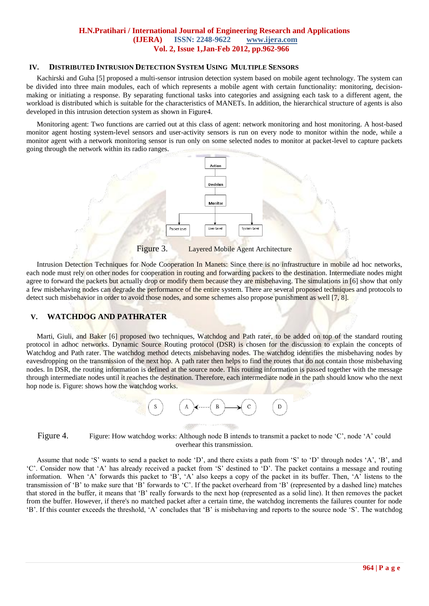## **IV. DISTRIBUTED INTRUSION DETECTION SYSTEM USING MULTIPLE SENSORS**

Kachirski and Guha [5] proposed a multi-sensor intrusion detection system based on mobile agent technology. The system can be divided into three main modules, each of which represents a mobile agent with certain functionality: monitoring, decisionmaking or initiating a response. By separating functional tasks into categories and assigning each task to a different agent, the workload is distributed which is suitable for the characteristics of MANETs. In addition, the hierarchical structure of agents is also developed in this intrusion detection system as shown in Figure4.

Monitoring agent: Two functions are carried out at this class of agent: network monitoring and host monitoring. A host-based monitor agent hosting system-level sensors and user-activity sensors is run on every node to monitor within the node, while a monitor agent with a network monitoring sensor is run only on some selected nodes to monitor at packet-level to capture packets going through the network within its radio ranges.



Intrusion Detection Techniques for Node Cooperation In Manets: Since there is no infrastructure in mobile ad hoc networks, each node must rely on other nodes for cooperation in routing and forwarding packets to the destination. Intermediate nodes might agree to forward the packets but actually drop or modify them because they are misbehaving. The simulations in [6] show that only a few misbehaving nodes can degrade the performance of the entire system. There are several proposed techniques and protocols to detect such misbehavior in order to avoid those nodes, and some schemes also propose punishment as well [7, 8].

## **V. WATCHDOG AND PATHRATER**

Marti, Giuli, and Baker [6] proposed two techniques, Watchdog and Path rater, to be added on top of the standard routing protocol in adhoc networks. Dynamic Source Routing protocol (DSR) is chosen for the discussion to explain the concepts of Watchdog and Path rater. The watchdog method detects misbehaving nodes. The watchdog identifies the misbehaving nodes by eavesdropping on the transmission of the next hop. A path rater then helps to find the routes that do not contain those misbehaving nodes. In DSR, the routing information is defined at the source node. This routing information is passed together with the message through intermediate nodes until it reaches the destination. Therefore, each intermediate node in the path should know who the next hop node is. Figure: shows how the watchdog works.



Figure 4. Figure: How watchdog works: Although node B intends to transmit a packet to node 'C', node 'A' could overhear this transmission.

Assume that node "S" wants to send a packet to node "D", and there exists a path from "S" to "D" through nodes "A", "B", and "C". Consider now that "A" has already received a packet from "S" destined to "D". The packet contains a message and routing information. When 'A' forwards this packet to 'B', 'A' also keeps a copy of the packet in its buffer. Then, 'A' listens to the transmission of "B" to make sure that "B" forwards to "C". If the packet overheard from "B" (represented by a dashed line) matches that stored in the buffer, it means that "B" really forwards to the next hop (represented as a solid line). It then removes the packet from the buffer. However, if there's no matched packet after a certain time, the watchdog increments the failures counter for node "B". If this counter exceeds the threshold, "A" concludes that "B" is misbehaving and reports to the source node "S". The watchdog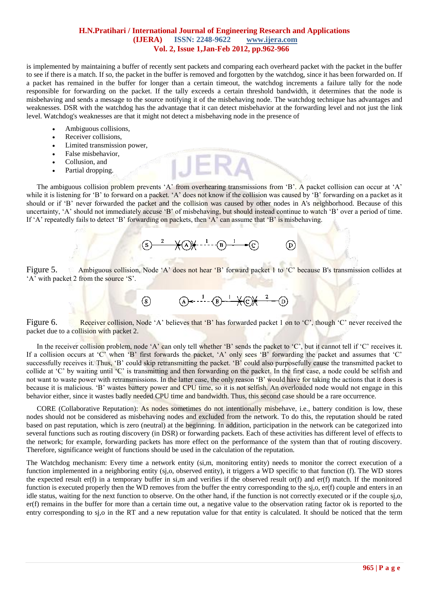is implemented by maintaining a buffer of recently sent packets and comparing each overheard packet with the packet in the buffer to see if there is a match. If so, the packet in the buffer is removed and forgotten by the watchdog, since it has been forwarded on. If a packet has remained in the buffer for longer than a certain timeout, the watchdog increments a failure tally for the node responsible for forwarding on the packet. If the tally exceeds a certain threshold bandwidth, it determines that the node is misbehaving and sends a message to the source notifying it of the misbehaving node. The watchdog technique has advantages and weaknesses. DSR with the watchdog has the advantage that it can detect misbehavior at the forwarding level and not just the link level. Watchdog's weaknesses are that it might not detect a misbehaving node in the presence of

- Ambiguous collisions,
- Receiver collisions,
- Limited transmission power,
- False misbehavior,
- Collusion, and
- Partial dropping.

The ambiguous collision problem prevents 'A' from overhearing transmissions from 'B'. A packet collision can occur at 'A' while it is listening for 'B' to forward on a packet. 'A' does not know if the collision was caused by 'B' forwarding on a packet as it should or if 'B' never forwarded the packet and the collision was caused by other nodes in A's neighborhood. Because of this uncertainty, 'A' should not immediately accuse 'B' of misbehaving, but should instead continue to watch 'B' over a period of time. If "A" repeatedly fails to detect "B" forwarding on packets, then "A" can assume that "B" is misbehaving.

 $(S)$   $^{2}$   $\star$   $(A)$   $^{1}$   $(B)$   $^{1}$   $\star$   $(C)$ (D

Figure 5. Ambiguous collision, Node 'A' does not hear 'B' forward packet 1 to 'C' because B's transmission collides at 'A' with packet 2 from the source 'S'.

$$
\textcircled{s} \qquad \textcircled{A} \longrightarrow \textcircled{B} \longrightarrow \textcircled{B} \longrightarrow \textcircled{B} \longrightarrow \textcircled{B}
$$

Figure 6. Receiver collision, Node 'A' believes that 'B' has forwarded packet 1 on to 'C', though 'C' never received the packet due to a collision with packet 2.

In the receiver collision problem, node 'A' can only tell whether 'B' sends the packet to 'C', but it cannot tell if 'C' receives it. If a collision occurs at 'C' when 'B' first forwards the packet, 'A' only sees 'B' forwarding the packet and assumes that 'C' successfully receives it. Thus, 'B' could skip retransmitting the packet. 'B' could also purposefully cause the transmitted packet to collide at 'C' by waiting until 'C' is transmitting and then forwarding on the packet. In the first case, a node could be selfish and not want to waste power with retransmissions. In the latter case, the only reason "B" would have for taking the actions that it does is because it is malicious. "B" wastes battery power and CPU time, so it is not selfish. An overloaded node would not engage in this behavior either, since it wastes badly needed CPU time and bandwidth. Thus, this second case should be a rare occurrence.

CORE (Collaborative Reputation): As nodes sometimes do not intentionally misbehave, i.e., battery condition is low, these nodes should not be considered as misbehaving nodes and excluded from the network. To do this, the reputation should be rated based on past reputation, which is zero (neutral) at the beginning. In addition, participation in the network can be categorized into several functions such as routing discovery (in DSR) or forwarding packets. Each of these activities has different level of effects to the network; for example, forwarding packets has more effect on the performance of the system than that of routing discovery. Therefore, significance weight of functions should be used in the calculation of the reputation.

The Watchdog mechanism: Every time a network entity (si,m, monitoring entity) needs to monitor the correct execution of a function implemented in a neighboring entity (sj,o, observed entity), it triggers a WD specific to that function (f). The WD stores the expected result er(f) in a temporary buffer in si,m and verifies if the observed result or(f) and er(f) match. If the monitored function is executed properly then the WD removes from the buffer the entry corresponding to the sj,o, er(f) couple and enters in an idle status, waiting for the next function to observe. On the other hand, if the function is not correctly executed or if the couple sj,o, er(f) remains in the buffer for more than a certain time out, a negative value to the observation rating factor ok is reported to the entry corresponding to sj,o in the RT and a new reputation value for that entity is calculated. It should be noticed that the term